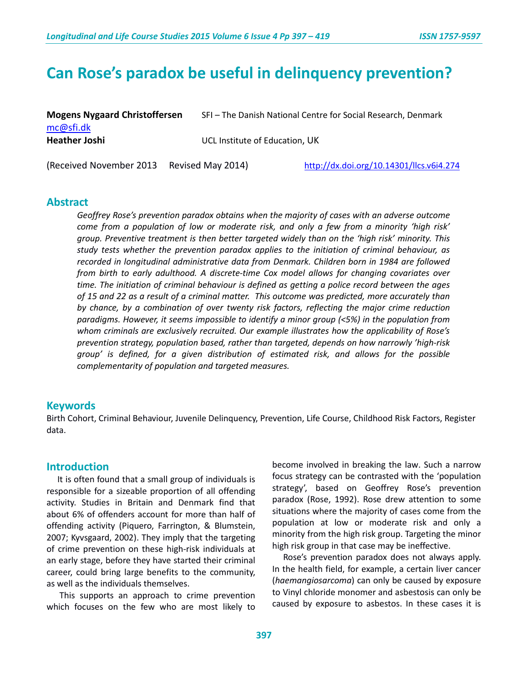# **Can Rose's paradox be useful in delinquency prevention?**

| <b>Mogens Nygaard Christoffersen</b> | SFI - The Danish National Centre for Social Research, Denmark |
|--------------------------------------|---------------------------------------------------------------|
| mc@sfi.dk                            |                                                               |
| <b>Heather Joshi</b>                 | UCL Institute of Education. UK                                |
|                                      |                                                               |

(Received November 2013 Revised May 2014) <http://dx.doi.org/10.14301/llcs.v6i4.274>

**Abstract**

*Geoffrey Rose's prevention paradox obtains when the majority of cases with an adverse outcome come from a population of low or moderate risk, and only a few from a minority 'high risk' group. Preventive treatment is then better targeted widely than on the 'high risk' minority. This study tests whether the prevention paradox applies to the initiation of criminal behaviour, as recorded in longitudinal administrative data from Denmark. Children born in 1984 are followed from birth to early adulthood. A discrete-time Cox model allows for changing covariates over time. The initiation of criminal behaviour is defined as getting a police record between the ages of 15 and 22 as a result of a criminal matter. This outcome was predicted, more accurately than by chance, by a combination of over twenty risk factors, reflecting the major crime reduction paradigms. However, it seems impossible to identify a minor group (<5%) in the population from whom criminals are exclusively recruited. Our example illustrates how the applicability of Rose's prevention strategy, population based, rather than targeted, depends on how narrowly 'high-risk group' is defined, for a given distribution of estimated risk, and allows for the possible complementarity of population and targeted measures.*

### **Keywords**

Birth Cohort, Criminal Behaviour, Juvenile Delinquency, Prevention, Life Course, Childhood Risk Factors, Register data.

### **Introduction**

 It is often found that a small group of individuals is responsible for a sizeable proportion of all offending activity. Studies in Britain and Denmark find that about 6% of offenders account for more than half of offending activity (Piquero, Farrington, & Blumstein, 2007; Kyvsgaard, 2002). They imply that the targeting of crime prevention on these high-risk individuals at an early stage, before they have started their criminal career, could bring large benefits to the community, as well as the individuals themselves.

 This supports an approach to crime prevention which focuses on the few who are most likely to become involved in breaking the law. Such a narrow focus strategy can be contrasted with the 'population strategy', based on Geoffrey Rose's prevention paradox (Rose, 1992). Rose drew attention to some situations where the majority of cases come from the population at low or moderate risk and only a minority from the high risk group. Targeting the minor high risk group in that case may be ineffective.

 Rose's prevention paradox does not always apply. In the health field, for example, a certain liver cancer (*haemangiosarcoma*) can only be caused by exposure to Vinyl chloride monomer and asbestosis can only be caused by exposure to asbestos. In these cases it is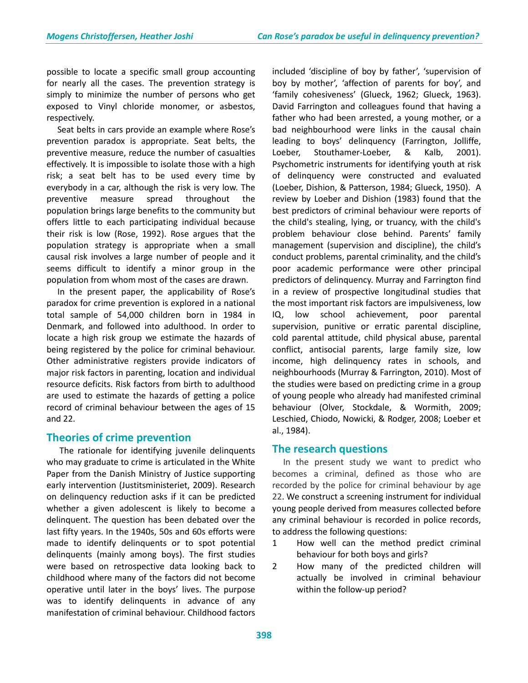possible to locate a specific small group accounting for nearly all the cases. The prevention strategy is simply to minimize the number of persons who get exposed to Vinyl chloride monomer, or asbestos, respectively.

 Seat belts in cars provide an example where Rose's prevention paradox is appropriate. Seat belts, the preventive measure, reduce the number of casualties effectively. It is impossible to isolate those with a high risk; a seat belt has to be used every time by everybody in a car, although the risk is very low. The preventive measure spread throughout the population brings large benefits to the community but offers little to each participating individual because their risk is low (Rose, 1992). Rose argues that the population strategy is appropriate when a small causal risk involves a large number of people and it seems difficult to identify a minor group in the population from whom most of the cases are drawn.

 In the present paper, the applicability of Rose's paradox for crime prevention is explored in a national total sample of 54,000 children born in 1984 in Denmark, and followed into adulthood. In order to locate a high risk group we estimate the hazards of being registered by the police for criminal behaviour. Other administrative registers provide indicators of major risk factors in parenting, location and individual resource deficits. Risk factors from birth to adulthood are used to estimate the hazards of getting a police record of criminal behaviour between the ages of 15 and 22.

## **Theories of crime prevention**

 The rationale for identifying juvenile delinquents who may graduate to crime is articulated in the White Paper from the Danish Ministry of Justice supporting early intervention (Justitsministeriet, 2009). Research on delinquency reduction asks if it can be predicted whether a given adolescent is likely to become a delinquent. The question has been debated over the last fifty years. In the 1940s, 50s and 60s efforts were made to identify delinquents or to spot potential delinquents (mainly among boys). The first studies were based on retrospective data looking back to childhood where many of the factors did not become operative until later in the boys' lives. The purpose was to identify delinquents in advance of any manifestation of criminal behaviour. Childhood factors included 'discipline of boy by father', 'supervision of boy by mother', 'affection of parents for boy', and 'family cohesiveness' (Glueck, 1962; Glueck, 1963). David Farrington and colleagues found that having a father who had been arrested, a young mother, or a bad neighbourhood were links in the causal chain leading to boys' delinquency (Farrington, Jolliffe, Loeber, Stouthamer-Loeber, & Kalb, 2001). Psychometric instruments for identifying youth at risk of delinquency were constructed and evaluated (Loeber, Dishion, & Patterson, 1984; Glueck, 1950). A review by Loeber and Dishion (1983) found that the best predictors of criminal behaviour were reports of the child's stealing, lying, or truancy, with the child's problem behaviour close behind. Parents' family management (supervision and discipline), the child's conduct problems, parental criminality, and the child's poor academic performance were other principal predictors of delinquency. Murray and Farrington find in a review of prospective longitudinal studies that the most important risk factors are impulsiveness, low IQ, low school achievement, poor parental supervision, punitive or erratic parental discipline, cold parental attitude, child physical abuse, parental conflict, antisocial parents, large family size, low income, high delinquency rates in schools, and neighbourhoods (Murray & Farrington, 2010). Most of the studies were based on predicting crime in a group of young people who already had manifested criminal behaviour (Olver, Stockdale, & Wormith, 2009; Leschied, Chiodo, Nowicki, & Rodger, 2008; Loeber et al., 1984).

## **The research questions**

 In the present study we want to predict who becomes a criminal, defined as those who are recorded by the police for criminal behaviour by age 22. We construct a screening instrument for individual young people derived from measures collected before any criminal behaviour is recorded in police records, to address the following questions:

- 1 How well can the method predict criminal behaviour for both boys and girls?
- 2 How many of the predicted children will actually be involved in criminal behaviour within the follow-up period?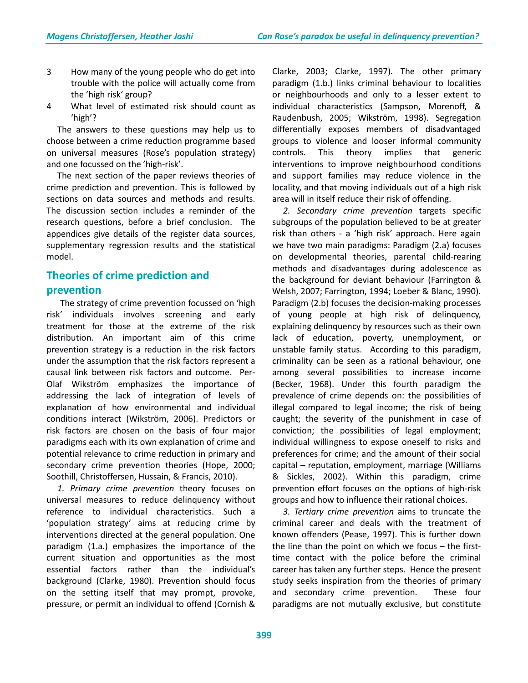- 3 How many of the young people who do get into trouble with the police will actually come from the 'high risk' group?
- 4 What level of estimated risk should count as 'high'?

 The answers to these questions may help us to choose between a crime reduction programme based on universal measures (Rose's population strategy) and one focussed on the 'high-risk'.

 The next section of the paper reviews theories of crime prediction and prevention. This is followed by sections on data sources and methods and results. The discussion section includes a reminder of the research questions, before a brief conclusion. The appendices give details of the register data sources, supplementary regression results and the statistical model.

## **Theories of crime prediction and prevention**

 The strategy of crime prevention focussed on 'high risk' individuals involves screening and early treatment for those at the extreme of the risk distribution. An important aim of this crime prevention strategy is a reduction in the risk factors under the assumption that the risk factors represent a causal link between risk factors and outcome. Per-Olaf Wikström emphasizes the importance of addressing the lack of integration of levels of explanation of how environmental and individual conditions interact (Wikström, 2006). Predictors or risk factors are chosen on the basis of four major paradigms each with its own explanation of crime and potential relevance to crime reduction in primary and secondary crime prevention theories (Hope, 2000; Soothill, Christoffersen, Hussain, & Francis, 2010).

 *1. Primary crime prevention* theory focuses on universal measures to reduce delinquency without reference to individual characteristics. Such a 'population strategy' aims at reducing crime by interventions directed at the general population. One paradigm (1.a.) emphasizes the importance of the current situation and opportunities as the most essential factors rather than the individual's background (Clarke, 1980). Prevention should focus on the setting itself that may prompt, provoke, pressure, or permit an individual to offend (Cornish & Clarke, 2003; Clarke, 1997)*.* The other primary paradigm (1.b.) links criminal behaviour to localities or neighbourhoods and only to a lesser extent to individual characteristics (Sampson, Morenoff, & Raudenbush, 2005; Wikström, 1998). Segregation differentially exposes members of disadvantaged groups to violence and looser informal community controls. This theory implies that generic interventions to improve neighbourhood conditions and support families may reduce violence in the locality, and that moving individuals out of a high risk area will in itself reduce their risk of offending.

 *2. Secondary crime prevention* targets specific subgroups of the population believed to be at greater risk than others - a 'high risk' approach. Here again we have two main paradigms: Paradigm (2.a) focuses on developmental theories, parental child-rearing methods and disadvantages during adolescence as the background for deviant behaviour (Farrington & Welsh, 2007; Farrington, 1994; Loeber & Blanc, 1990). Paradigm (2.b) focuses the decision-making processes of young people at high risk of delinquency, explaining delinquency by resources such as their own lack of education, poverty, unemployment, or unstable family status. According to this paradigm, criminality can be seen as a rational behaviour, one among several possibilities to increase income (Becker, 1968). Under this fourth paradigm the prevalence of crime depends on: the possibilities of illegal compared to legal income; the risk of being caught; the severity of the punishment in case of conviction; the possibilities of legal employment; individual willingness to expose oneself to risks and preferences for crime; and the amount of their social capital – reputation, employment, marriage (Williams & Sickles, 2002). Within this paradigm, crime prevention effort focuses on the options of high-risk groups and how to influence their rational choices.

 *3. Tertiary crime prevention* aims to truncate the criminal career and deals with the treatment of known offenders (Pease, 1997). This is further down the line than the point on which we focus – the firsttime contact with the police before the criminal career has taken any further steps. Hence the present study seeks inspiration from the theories of primary and secondary crime prevention. These four paradigms are not mutually exclusive, but constitute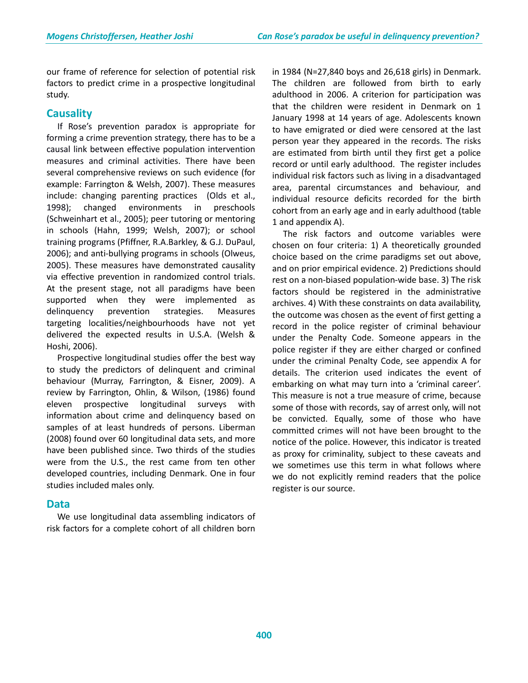our frame of reference for selection of potential risk factors to predict crime in a prospective longitudinal study.

### **Causality**

 If Rose's prevention paradox is appropriate for forming a crime prevention strategy, there has to be a causal link between effective population intervention measures and criminal activities. There have been several comprehensive reviews on such evidence (for example: Farrington & Welsh, 2007). These measures include: changing parenting practices (Olds et al., 1998); changed environments in preschools (Schweinhart et al., 2005); peer tutoring or mentoring in schools (Hahn, 1999; Welsh, 2007); or school training programs (Pfiffner, R.A.Barkley, & G.J. DuPaul, 2006); and anti-bullying programs in schools (Olweus, 2005). These measures have demonstrated causality via effective prevention in randomized control trials. At the present stage, not all paradigms have been supported when they were implemented as delinquency prevention strategies. Measures targeting localities/neighbourhoods have not yet delivered the expected results in U.S.A. (Welsh & Hoshi, 2006).

 Prospective longitudinal studies offer the best way to study the predictors of delinquent and criminal behaviour (Murray, Farrington, & Eisner, 2009). A review by Farrington, Ohlin, & Wilson, (1986) found eleven prospective longitudinal surveys with information about crime and delinquency based on samples of at least hundreds of persons. Liberman (2008) found over 60 longitudinal data sets, and more have been published since. Two thirds of the studies were from the U.S., the rest came from ten other developed countries, including Denmark. One in four studies included males only.

### **Data**

 We use longitudinal data assembling indicators of risk factors for a complete cohort of all children born in 1984 (N=27,840 boys and 26,618 girls) in Denmark. The children are followed from birth to early adulthood in 2006. A criterion for participation was that the children were resident in Denmark on 1 January 1998 at 14 years of age. Adolescents known to have emigrated or died were censored at the last person year they appeared in the records. The risks are estimated from birth until they first get a police record or until early adulthood. The register includes individual risk factors such as living in a disadvantaged area, parental circumstances and behaviour, and individual resource deficits recorded for the birth cohort from an early age and in early adulthood (table 1 and appendix A).

 The risk factors and outcome variables were chosen on four criteria: 1) A theoretically grounded choice based on the crime paradigms set out above, and on prior empirical evidence. 2) Predictions should rest on a non-biased population-wide base. 3) The risk factors should be registered in the administrative archives. 4) With these constraints on data availability, the outcome was chosen as the event of first getting a record in the police register of criminal behaviour under the Penalty Code. Someone appears in the police register if they are either charged or confined under the criminal Penalty Code, see appendix A for details. The criterion used indicates the event of embarking on what may turn into a 'criminal career'. This measure is not a true measure of crime, because some of those with records, say of arrest only, will not be convicted. Equally, some of those who have committed crimes will not have been brought to the notice of the police. However, this indicator is treated as proxy for criminality, subject to these caveats and we sometimes use this term in what follows where we do not explicitly remind readers that the police register is our source.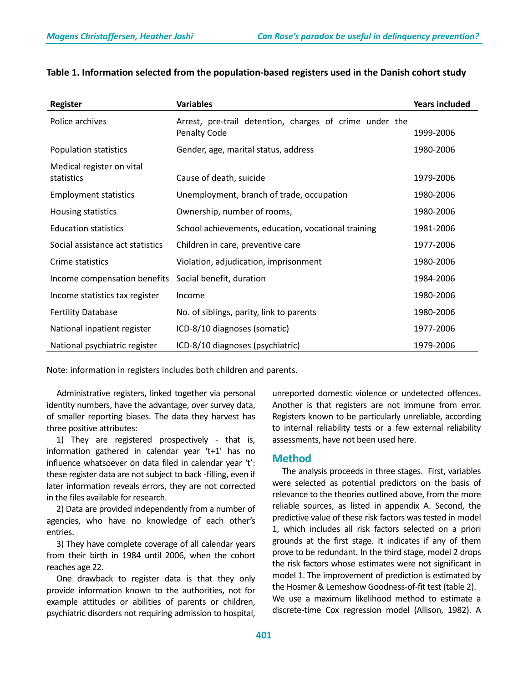| <b>Register</b>                         | <b>Variables</b>                                                               | <b>Years included</b> |
|-----------------------------------------|--------------------------------------------------------------------------------|-----------------------|
| Police archives                         | Arrest, pre-trail detention, charges of crime under the<br><b>Penalty Code</b> | 1999-2006             |
| Population statistics                   | Gender, age, marital status, address                                           | 1980-2006             |
| Medical register on vital<br>statistics | Cause of death, suicide                                                        | 1979-2006             |
| <b>Employment statistics</b>            | Unemployment, branch of trade, occupation                                      | 1980-2006             |
| Housing statistics                      | Ownership, number of rooms,                                                    | 1980-2006             |
| <b>Education statistics</b>             | School achievements, education, vocational training                            | 1981-2006             |
| Social assistance act statistics        | Children in care, preventive care                                              | 1977-2006             |
| Crime statistics                        | Violation, adjudication, imprisonment                                          | 1980-2006             |
| Income compensation benefits            | Social benefit, duration                                                       | 1984-2006             |
| Income statistics tax register          | Income                                                                         | 1980-2006             |
| <b>Fertility Database</b>               | No. of siblings, parity, link to parents                                       | 1980-2006             |
| National inpatient register             | ICD-8/10 diagnoses (somatic)                                                   | 1977-2006             |
| National psychiatric register           | ICD-8/10 diagnoses (psychiatric)                                               | 1979-2006             |

## **Table 1. Information selected from the population-based registers used in the Danish cohort study**

Note: information in registers includes both children and parents.

 Administrative registers, linked together via personal identity numbers, have the advantage, over survey data, of smaller reporting biases. The data they harvest has three positive attributes:

 1) They are registered prospectively - that is, information gathered in calendar year 't+1' has no influence whatsoever on data filed in calendar year 't': these register data are not subject to back -filling, even if later information reveals errors, they are not corrected in the files available for research.

 2) Data are provided independently from a number of agencies, who have no knowledge of each other's entries.

 3) They have complete coverage of all calendar years from their birth in 1984 until 2006, when the cohort reaches age 22.

 One drawback to register data is that they only provide information known to the authorities, not for example attitudes or abilities of parents or children, psychiatric disorders not requiring admission to hospital, unreported domestic violence or undetected offences. Another is that registers are not immune from error. Registers known to be particularly unreliable, according to internal reliability tests or a few external reliability assessments, have not been used here.

## **Method**

 The analysis proceeds in three stages. First, variables were selected as potential predictors on the basis of relevance to the theories outlined above, from the more reliable sources, as listed in appendix A. Second, the predictive value of these risk factors was tested in model 1, which includes all risk factors selected on a priori grounds at the first stage. It indicates if any of them prove to be redundant. In the third stage, model 2 drops the risk factors whose estimates were not significant in model 1. The improvement of prediction is estimated by the Hosmer & Lemeshow Goodness-of-fit test (table 2). We use a maximum likelihood method to estimate a discrete-time Cox regression model (Allison, 1982). A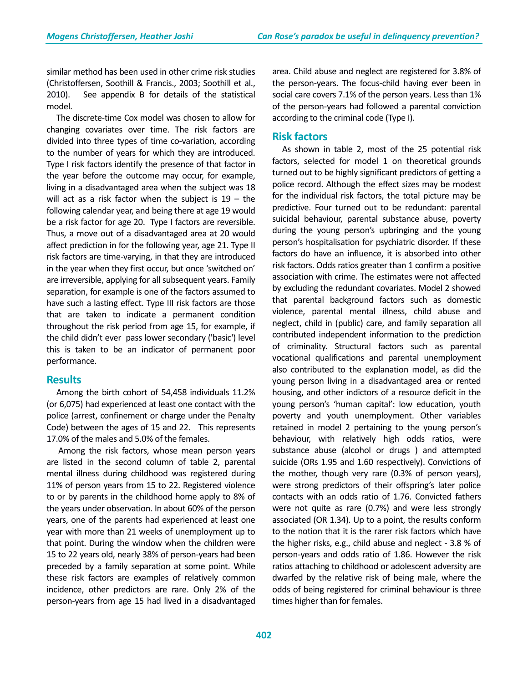similar method has been used in other crime risk studies (Christoffersen, Soothill & Francis., 2003; Soothill et al., 2010). See appendix B for details of the statistical model.

 The discrete-time Cox model was chosen to allow for changing covariates over time. The risk factors are divided into three types of time co-variation, according to the number of years for which they are introduced. Type I risk factors identify the presence of that factor in the year before the outcome may occur, for example, living in a disadvantaged area when the subject was 18 will act as a risk factor when the subject is  $19 -$  the following calendar year, and being there at age 19 would be a risk factor for age 20. Type I factors are reversible. Thus, a move out of a disadvantaged area at 20 would affect prediction in for the following year, age 21. Type II risk factors are time-varying, in that they are introduced in the year when they first occur, but once 'switched on' are irreversible, applying for all subsequent years. Family separation, for example is one of the factors assumed to have such a lasting effect. Type III risk factors are those that are taken to indicate a permanent condition throughout the risk period from age 15, for example, if the child didn't ever pass lower secondary ('basic') level this is taken to be an indicator of permanent poor performance.

### **Results**

 Among the birth cohort of 54,458 individuals 11.2% (or 6,075) had experienced at least one contact with the police (arrest, confinement or charge under the Penalty Code) between the ages of 15 and 22. This represents 17.0% of the males and 5.0% of the females.

 Among the risk factors, whose mean person years are listed in the second column of table 2, parental mental illness during childhood was registered during 11% of person years from 15 to 22. Registered violence to or by parents in the childhood home apply to 8% of the years under observation. In about 60% of the person years, one of the parents had experienced at least one year with more than 21 weeks of unemployment up to that point. During the window when the children were 15 to 22 years old, nearly 38% of person-years had been preceded by a family separation at some point. While these risk factors are examples of relatively common incidence, other predictors are rare. Only 2% of the person-years from age 15 had lived in a disadvantaged area. Child abuse and neglect are registered for 3.8% of the person-years. The focus-child having ever been in social care covers 7.1% of the person years. Less than 1% of the person-years had followed a parental conviction according to the criminal code (Type I).

### **Risk factors**

 As shown in table 2, most of the 25 potential risk factors, selected for model 1 on theoretical grounds turned out to be highly significant predictors of getting a police record. Although the effect sizes may be modest for the individual risk factors, the total picture may be predictive. Four turned out to be redundant: parental suicidal behaviour, parental substance abuse, poverty during the young person's upbringing and the young person's hospitalisation for psychiatric disorder. If these factors do have an influence, it is absorbed into other risk factors. Odds ratios greater than 1 confirm a positive association with crime. The estimates were not affected by excluding the redundant covariates. Model 2 showed that parental background factors such as domestic violence, parental mental illness, child abuse and neglect, child in (public) care, and family separation all contributed independent information to the prediction of criminality. Structural factors such as parental vocational qualifications and parental unemployment also contributed to the explanation model, as did the young person living in a disadvantaged area or rented housing, and other indictors of a resource deficit in the young person's 'human capital': low education, youth poverty and youth unemployment. Other variables retained in model 2 pertaining to the young person's behaviour, with relatively high odds ratios, were substance abuse (alcohol or drugs ) and attempted suicide (ORs 1.95 and 1.60 respectively). Convictions of the mother, though very rare (0.3% of person years), were strong predictors of their offspring's later police contacts with an odds ratio of 1.76. Convicted fathers were not quite as rare (0.7%) and were less strongly associated (OR 1.34). Up to a point, the results conform to the notion that it is the rarer risk factors which have the higher risks, e.g., child abuse and neglect - 3.8 % of person-years and odds ratio of 1.86. However the risk ratios attaching to childhood or adolescent adversity are dwarfed by the relative risk of being male, where the odds of being registered for criminal behaviour is three times higher than for females.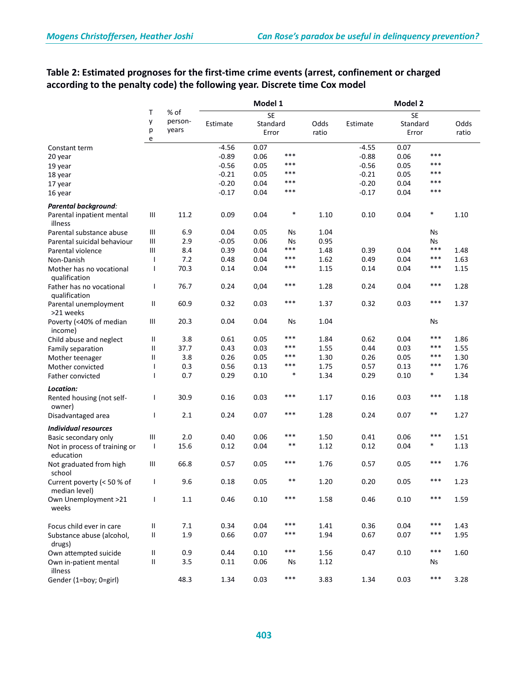|                                             | % of<br>Τ                |                  | Model 1  |                   |        |       | Model 2  |                   |        |               |
|---------------------------------------------|--------------------------|------------------|----------|-------------------|--------|-------|----------|-------------------|--------|---------------|
|                                             |                          |                  |          | <b>SE</b>         |        |       |          | <b>SE</b>         |        |               |
|                                             | у<br>р                   | person-<br>years | Estimate | Standard<br>Error |        | Odds  | Estimate | Standard<br>Error |        | Odds<br>ratio |
|                                             | e                        |                  |          |                   |        | ratio |          |                   |        |               |
| Constant term                               |                          |                  | $-4.56$  | 0.07              |        |       | $-4.55$  | 0.07              |        |               |
| 20 year                                     |                          |                  | $-0.89$  | 0.06              | $***$  |       | $-0.88$  | 0.06              | ***    |               |
| 19 year                                     |                          |                  | $-0.56$  | 0.05              | ***    |       | $-0.56$  | 0.05              | $***$  |               |
| 18 year                                     |                          |                  | $-0.21$  | 0.05              | $***$  |       | $-0.21$  | 0.05              | $***$  |               |
| 17 year                                     |                          |                  | $-0.20$  | 0.04              | ***    |       | $-0.20$  | 0.04              | $***$  |               |
| 16 year                                     |                          |                  | $-0.17$  | 0.04              | ***    |       | $-0.17$  | 0.04              | ***    |               |
| Parental background:                        |                          |                  |          |                   |        |       |          |                   |        |               |
| Parental inpatient mental<br>illness        | Ш                        | 11.2             | 0.09     | 0.04              | $\ast$ | 1.10  | 0.10     | 0.04              | $\ast$ | 1.10          |
| Parental substance abuse                    | Ш                        | 6.9              | 0.04     | 0.05              | Ns     | 1.04  |          |                   | Ns     |               |
| Parental suicidal behaviour                 | Ш                        | 2.9              | $-0.05$  | 0.06              | Ns     | 0.95  |          |                   | Ns     |               |
| Parental violence                           | Ш                        | 8.4              | 0.39     | 0.04              | ***    | 1.48  | 0.39     | 0.04              | $***$  | 1.48          |
| Non-Danish                                  | $\mathbf{I}$             | 7.2              | 0.48     | 0.04              | ***    | 1.62  | 0.49     | 0.04              | $***$  | 1.63          |
| Mother has no vocational<br>qualification   | I                        | 70.3             | 0.14     | 0.04              | ***    | 1.15  | 0.14     | 0.04              | $***$  | 1.15          |
| Father has no vocational<br>qualification   | T                        | 76.7             | 0.24     | 0,04              | ***    | 1.28  | 0.24     | 0.04              | ***    | 1.28          |
| Parental unemployment<br>>21 weeks          | Ш                        | 60.9             | 0.32     | 0.03              | $***$  | 1.37  | 0.32     | 0.03              | ***    | 1.37          |
| Poverty (<40% of median<br>income)          | Ш                        | 20.3             | 0.04     | 0.04              | Ns     | 1.04  |          |                   | Ns     |               |
| Child abuse and neglect                     | Ш                        | 3.8              | 0.61     | 0.05              | ***    | 1.84  | 0.62     | 0.04              | ***    | 1.86          |
| Family separation                           | $\mathbf{I}$             | 37.7             | 0.43     | 0.03              | ***    | 1.55  | 0.44     | 0.03              | $***$  | 1.55          |
| Mother teenager                             | Ш                        | 3.8              | 0.26     | 0.05              | ***    | 1.30  | 0.26     | 0.05              | $***$  | 1.30          |
| Mother convicted                            | I                        | 0.3              | 0.56     | 0.13              | $***$  | 1.75  | 0.57     | 0.13              | ***    | 1.76          |
| Father convicted                            | J.                       | 0.7              | 0.29     | 0.10              | $\ast$ | 1.34  | 0.29     | 0.10              | $\ast$ | 1.34          |
| Location:                                   |                          |                  |          |                   |        |       |          |                   |        |               |
| Rented housing (not self-<br>owner)         | I                        | 30.9             | 0.16     | 0.03              | ***    | 1.17  | 0.16     | 0.03              | ***    | 1.18          |
| Disadvantaged area                          | I                        | 2.1              | 0.24     | 0.07              | $***$  | 1.28  | 0.24     | 0.07              | $***$  | 1.27          |
| <b>Individual resources</b>                 |                          |                  |          |                   |        |       |          |                   |        |               |
| Basic secondary only                        | Ш                        | 2.0              | 0.40     | 0.06              | ***    | 1.50  | 0.41     | 0.06              | $***$  | 1.51          |
| Not in process of training or<br>education  | $\overline{\phantom{a}}$ | 15.6             | 0.12     | 0.04              | $***$  | 1.12  | 0.12     | 0.04              | *      | 1.13          |
| Not graduated from high<br>school           | Ш                        | 66.8             | 0.57     | 0.05              | ***    | 1.76  | 0.57     | 0.05              | ***    | 1.76          |
| Current poverty (< 50 % of<br>median level) | ı                        | 9.6              | 0.18     | 0.05              | $***$  | 1.20  | 0.20     | 0.05              | ***    | 1.23          |
| Own Unemployment >21<br>weeks               | $\mathbf{I}$             | $1.1\,$          | 0.46     | 0.10              | ***    | 1.58  | 0.46     | 0.10              | $***$  | 1.59          |
| Focus child ever in care                    | $\rm H$                  | 7.1              | 0.34     | 0.04              | ***    | 1.41  | 0.36     | 0.04              | $***$  | 1.43          |
| Substance abuse (alcohol,<br>drugs)         | $\rm H$                  | 1.9              | 0.66     | 0.07              | ***    | 1.94  | 0.67     | 0.07              | ***    | 1.95          |
| Own attempted suicide                       | Ш                        | 0.9              | 0.44     | 0.10              | $***$  | 1.56  | 0.47     | 0.10              | $***$  | 1.60          |
| Own in-patient mental<br>illness            | Ш                        | 3.5              | 0.11     | 0.06              | Ns     | 1.12  |          |                   | Ns     |               |
| Gender (1=boy; 0=girl)                      |                          | 48.3             | 1.34     | 0.03              | $***$  | 3.83  | 1.34     | 0.03              | ***    | 3.28          |

## **Table 2: Estimated prognoses for the first-time crime events (arrest, confinement or charged according to the penalty code) the following year. Discrete time Cox model**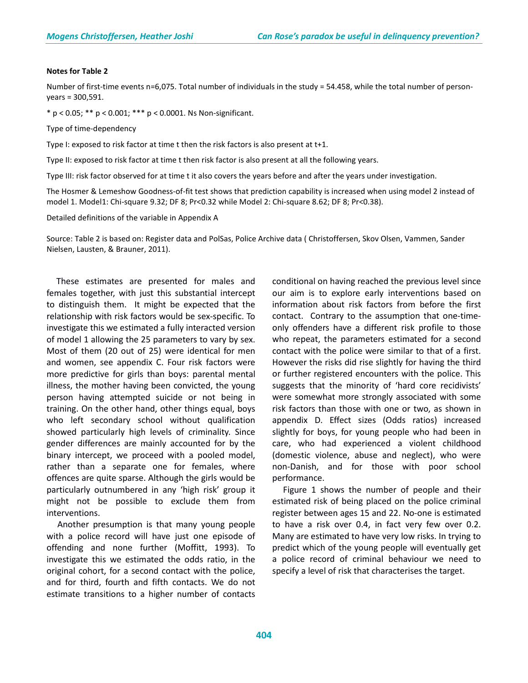#### **Notes for Table 2**

Number of first-time events n=6,075. Total number of individuals in the study = 54.458, while the total number of personyears = 300,591.

\* p < 0.05; \*\* p < 0.001; \*\*\* p < 0.0001. Ns Non-significant.

Type of time-dependency

Type I: exposed to risk factor at time t then the risk factors is also present at t+1.

Type II: exposed to risk factor at time t then risk factor is also present at all the following years.

Type III: risk factor observed for at time t it also covers the years before and after the years under investigation.

The Hosmer & Lemeshow Goodness-of-fit test shows that prediction capability is increased when using model 2 instead of model 1. Model1: Chi-square 9.32; DF 8; Pr<0.32 while Model 2: Chi-square 8.62; DF 8; Pr<0.38).

Detailed definitions of the variable in Appendix A

Source: Table 2 is based on: Register data and PolSas, Police Archive data ( Christoffersen, Skov Olsen, Vammen, Sander Nielsen, Lausten, & Brauner, 2011).

 These estimates are presented for males and females together, with just this substantial intercept to distinguish them. It might be expected that the relationship with risk factors would be sex-specific. To investigate this we estimated a fully interacted version of model 1 allowing the 25 parameters to vary by sex. Most of them (20 out of 25) were identical for men and women, see appendix C. Four risk factors were more predictive for girls than boys: parental mental illness, the mother having been convicted, the young person having attempted suicide or not being in training. On the other hand, other things equal, boys who left secondary school without qualification showed particularly high levels of criminality. Since gender differences are mainly accounted for by the binary intercept, we proceed with a pooled model, rather than a separate one for females, where offences are quite sparse. Although the girls would be particularly outnumbered in any 'high risk' group it might not be possible to exclude them from interventions.

 Another presumption is that many young people with a police record will have just one episode of offending and none further (Moffitt, 1993). To investigate this we estimated the odds ratio, in the original cohort, for a second contact with the police, and for third, fourth and fifth contacts. We do not estimate transitions to a higher number of contacts conditional on having reached the previous level since our aim is to explore early interventions based on information about risk factors from before the first contact. Contrary to the assumption that one-timeonly offenders have a different risk profile to those who repeat, the parameters estimated for a second contact with the police were similar to that of a first. However the risks did rise slightly for having the third or further registered encounters with the police. This suggests that the minority of 'hard core recidivists' were somewhat more strongly associated with some risk factors than those with one or two, as shown in appendix D. Effect sizes (Odds ratios) increased slightly for boys, for young people who had been in care, who had experienced a violent childhood (domestic violence, abuse and neglect), who were non-Danish, and for those with poor school performance.

 Figure 1 shows the number of people and their estimated risk of being placed on the police criminal register between ages 15 and 22. No-one is estimated to have a risk over 0.4, in fact very few over 0.2. Many are estimated to have very low risks. In trying to predict which of the young people will eventually get a police record of criminal behaviour we need to specify a level of risk that characterises the target.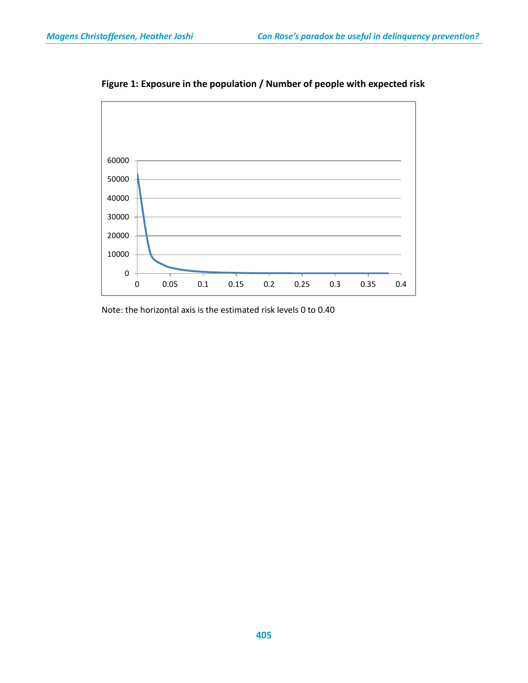

**Figure 1: Exposure in the population / Number of people with expected risk**

Note: the horizontal axis is the estimated risk levels 0 to 0.40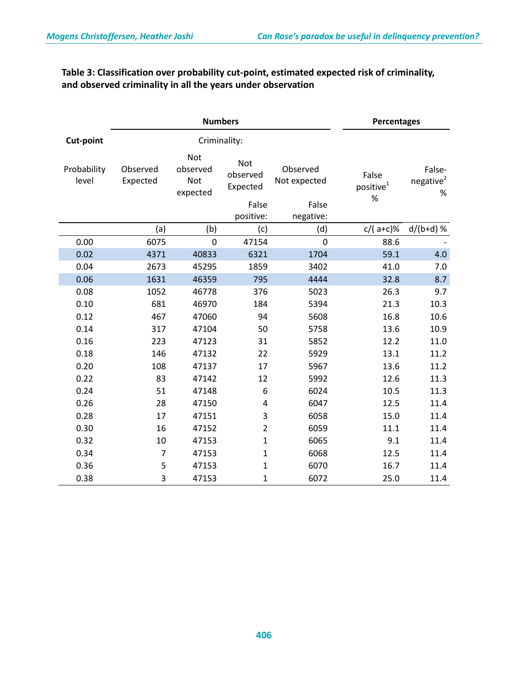## **Table 3: Classification over probability cut-point, estimated expected risk of criminality, and observed criminality in all the years under observation**

| <b>Numbers</b>       |                      |                                           |                                    |                          | <b>Percentages</b>               |                                         |
|----------------------|----------------------|-------------------------------------------|------------------------------------|--------------------------|----------------------------------|-----------------------------------------|
| <b>Cut-point</b>     |                      | Criminality:                              |                                    |                          |                                  |                                         |
| Probability<br>level | Observed<br>Expected | <b>Not</b><br>observed<br>Not<br>expected | <b>Not</b><br>observed<br>Expected | Observed<br>Not expected | False<br>positive $^{1}$<br>$\%$ | False-<br>negative <sup>2</sup><br>$\%$ |
|                      |                      |                                           | False                              | False                    |                                  |                                         |
|                      |                      |                                           | positive:                          | negative:                |                                  |                                         |
|                      | (a)                  | (b)                                       | (c)                                | (d)                      | $c/(a+c)\%$                      | $d/(b+d)$ %                             |
| 0.00                 | 6075                 | $\mathbf 0$                               | 47154                              | $\mathbf 0$              | 88.6                             |                                         |
| 0.02                 | 4371                 | 40833                                     | 6321                               | 1704                     | 59.1                             | 4.0                                     |
| 0.04                 | 2673                 | 45295                                     | 1859                               | 3402                     | 41.0                             | 7.0                                     |
| 0.06                 | 1631                 | 46359                                     | 795                                | 4444                     | 32.8                             | 8.7                                     |
| 0.08                 | 1052                 | 46778                                     | 376                                | 5023                     | 26.3                             | 9.7                                     |
| 0.10                 | 681                  | 46970                                     | 184                                | 5394                     | 21.3                             | 10.3                                    |
| 0.12                 | 467                  | 47060                                     | 94                                 | 5608                     | 16.8                             | 10.6                                    |
| 0.14                 | 317                  | 47104                                     | 50                                 | 5758                     | 13.6                             | 10.9                                    |
| 0.16                 | 223                  | 47123                                     | 31                                 | 5852                     | 12.2                             | 11.0                                    |
| 0.18                 | 146                  | 47132                                     | 22                                 | 5929                     | 13.1                             | 11.2                                    |
| 0.20                 | 108                  | 47137                                     | 17                                 | 5967                     | 13.6                             | 11.2                                    |
| 0.22                 | 83                   | 47142                                     | 12                                 | 5992                     | 12.6                             | 11.3                                    |
| 0.24                 | 51                   | 47148                                     | 6                                  | 6024                     | 10.5                             | 11.3                                    |
| 0.26                 | 28                   | 47150                                     | 4                                  | 6047                     | 12.5                             | 11.4                                    |
| 0.28                 | 17                   | 47151                                     | 3                                  | 6058                     | 15.0                             | 11.4                                    |
| 0.30                 | 16                   | 47152                                     | $\overline{2}$                     | 6059                     | 11.1                             | 11.4                                    |
| 0.32                 | 10                   | 47153                                     | $\mathbf{1}$                       | 6065                     | 9.1                              | 11.4                                    |
| 0.34                 | $\overline{7}$       | 47153                                     | $\mathbf{1}$                       | 6068                     | 12.5                             | 11.4                                    |
| 0.36                 | 5                    | 47153                                     | $\mathbf{1}$                       | 6070                     | 16.7                             | 11.4                                    |
| 0.38                 | 3                    | 47153                                     | $\mathbf 1$                        | 6072                     | 25.0                             | 11.4                                    |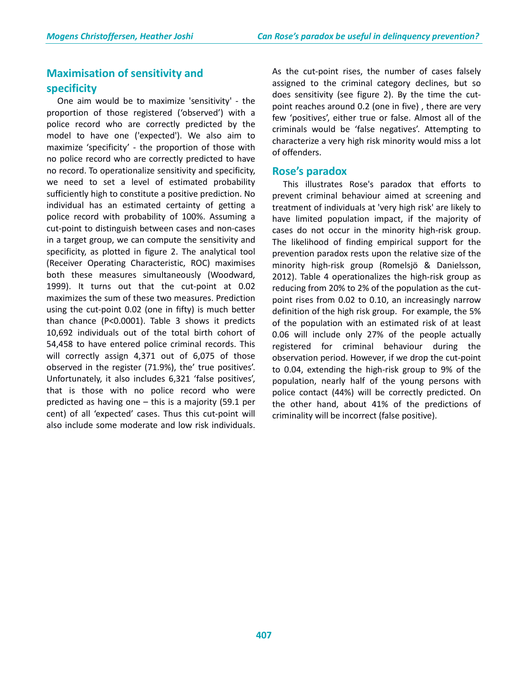## **Maximisation of sensitivity and specificity**

 One aim would be to maximize 'sensitivity' - the proportion of those registered ('observed') with a police record who are correctly predicted by the model to have one ('expected'). We also aim to maximize 'specificity' - the proportion of those with no police record who are correctly predicted to have no record. To operationalize sensitivity and specificity, we need to set a level of estimated probability sufficiently high to constitute a positive prediction. No individual has an estimated certainty of getting a police record with probability of 100%. Assuming a cut-point to distinguish between cases and non-cases in a target group, we can compute the sensitivity and specificity, as plotted in figure 2. The analytical tool (Receiver Operating Characteristic, ROC) maximises both these measures simultaneously (Woodward, 1999). It turns out that the cut-point at 0.02 maximizes the sum of these two measures. Prediction using the cut-point 0.02 (one in fifty) is much better than chance (P<0.0001). Table 3 shows it predicts 10,692 individuals out of the total birth cohort of 54,458 to have entered police criminal records. This will correctly assign 4,371 out of 6,075 of those observed in the register (71.9%), the' true positives'. Unfortunately, it also includes 6,321 'false positives', that is those with no police record who were predicted as having one – this is a majority (59.1 per cent) of all 'expected' cases. Thus this cut-point will also include some moderate and low risk individuals. As the cut-point rises, the number of cases falsely assigned to the criminal category declines, but so does sensitivity (see figure 2). By the time the cutpoint reaches around 0.2 (one in five) , there are very few 'positives', either true or false. Almost all of the criminals would be 'false negatives'. Attempting to characterize a very high risk minority would miss a lot of offenders.

### **Rose's paradox**

 This illustrates Rose's paradox that efforts to prevent criminal behaviour aimed at screening and treatment of individuals at 'very high risk' are likely to have limited population impact, if the majority of cases do not occur in the minority high-risk group. The likelihood of finding empirical support for the prevention paradox rests upon the relative size of the minority high-risk group (Romelsjö & Danielsson, 2012). Table 4 operationalizes the high-risk group as reducing from 20% to 2% of the population as the cutpoint rises from 0.02 to 0.10, an increasingly narrow definition of the high risk group. For example, the 5% of the population with an estimated risk of at least 0.06 will include only 27% of the people actually registered for criminal behaviour during the observation period. However, if we drop the cut-point to 0.04, extending the high-risk group to 9% of the population, nearly half of the young persons with police contact (44%) will be correctly predicted. On the other hand, about 41% of the predictions of criminality will be incorrect (false positive).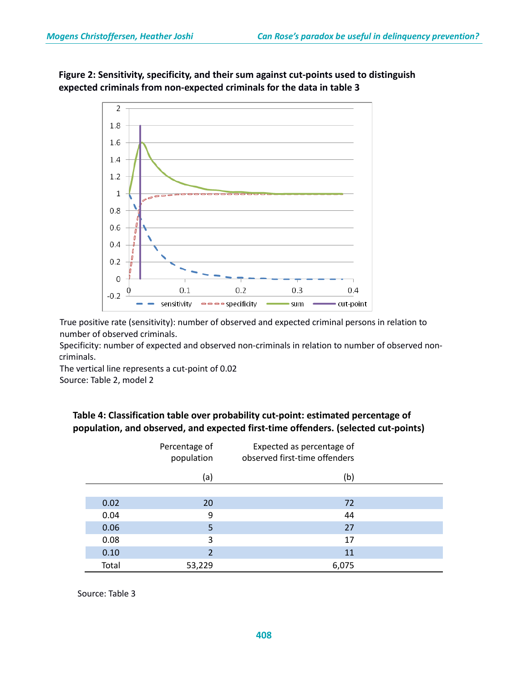



True positive rate (sensitivity): number of observed and expected criminal persons in relation to number of observed criminals.

Specificity: number of expected and observed non-criminals in relation to number of observed noncriminals.

The vertical line represents a cut-point of 0.02 Source: Table 2, model 2

### **Table 4: Classification table over probability cut-point: estimated percentage of population, and observed, and expected first-time offenders. (selected cut-points)**

|       | Percentage of<br>population | Expected as percentage of<br>observed first-time offenders |  |
|-------|-----------------------------|------------------------------------------------------------|--|
|       | (a)                         | (b)                                                        |  |
|       |                             |                                                            |  |
| 0.02  | 20                          | 72                                                         |  |
| 0.04  | 9                           | 44                                                         |  |
| 0.06  | 5                           | 27                                                         |  |
| 0.08  | 3                           | 17                                                         |  |
| 0.10  | 2                           | 11                                                         |  |
| Total | 53,229                      | 6,075                                                      |  |

Source: Table 3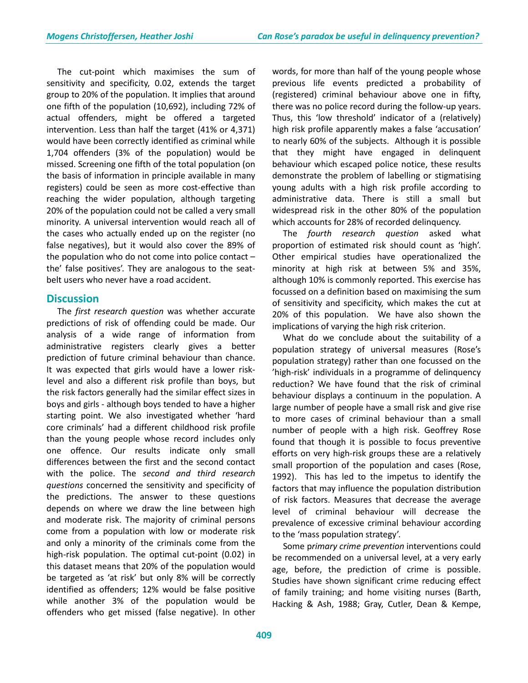The cut-point which maximises the sum of sensitivity and specificity, 0.02, extends the target group to 20% of the population. It implies that around one fifth of the population (10,692), including 72% of actual offenders, might be offered a targeted intervention. Less than half the target (41% or 4,371) would have been correctly identified as criminal while 1,704 offenders (3% of the population) would be missed. Screening one fifth of the total population (on the basis of information in principle available in many registers) could be seen as more cost-effective than reaching the wider population, although targeting 20% of the population could not be called a very small minority. A universal intervention would reach all of the cases who actually ended up on the register (no false negatives), but it would also cover the 89% of the population who do not come into police contact – the' false positives'. They are analogous to the seatbelt users who never have a road accident.

### **Discussion**

 The *first research question* was whether accurate predictions of risk of offending could be made. Our analysis of a wide range of information from administrative registers clearly gives a better prediction of future criminal behaviour than chance. It was expected that girls would have a lower risklevel and also a different risk profile than boys, but the risk factors generally had the similar effect sizes in boys and girls - although boys tended to have a higher starting point. We also investigated whether 'hard core criminals' had a different childhood risk profile than the young people whose record includes only one offence. Our results indicate only small differences between the first and the second contact with the police. The *second and third research questions* concerned the sensitivity and specificity of the predictions. The answer to these questions depends on where we draw the line between high and moderate risk. The majority of criminal persons come from a population with low or moderate risk and only a minority of the criminals come from the high-risk population. The optimal cut-point (0.02) in this dataset means that 20% of the population would be targeted as 'at risk' but only 8% will be correctly identified as offenders; 12% would be false positive while another 3% of the population would be offenders who get missed (false negative). In other words, for more than half of the young people whose previous life events predicted a probability of (registered) criminal behaviour above one in fifty, there was no police record during the follow-up years. Thus, this 'low threshold' indicator of a (relatively) high risk profile apparently makes a false 'accusation' to nearly 60% of the subjects. Although it is possible that they might have engaged in delinquent behaviour which escaped police notice, these results demonstrate the problem of labelling or stigmatising young adults with a high risk profile according to administrative data. There is still a small but widespread risk in the other 80% of the population which accounts for 28% of recorded delinquency.

 The *fourth research question* asked what proportion of estimated risk should count as 'high'. Other empirical studies have operationalized the minority at high risk at between 5% and 35%, although 10% is commonly reported. This exercise has focussed on a definition based on maximising the sum of sensitivity and specificity, which makes the cut at 20% of this population. We have also shown the implications of varying the high risk criterion.

 What do we conclude about the suitability of a population strategy of universal measures (Rose's population strategy) rather than one focussed on the 'high-risk' individuals in a programme of delinquency reduction? We have found that the risk of criminal behaviour displays a continuum in the population. A large number of people have a small risk and give rise to more cases of criminal behaviour than a small number of people with a high risk. Geoffrey Rose found that though it is possible to focus preventive efforts on very high-risk groups these are a relatively small proportion of the population and cases (Rose, 1992). This has led to the impetus to identify the factors that may influence the population distribution of risk factors. Measures that decrease the average level of criminal behaviour will decrease the prevalence of excessive criminal behaviour according to the 'mass population strategy'.

 Some p*rimary crime prevention* interventions could be recommended on a universal level, at a very early age, before, the prediction of crime is possible. Studies have shown significant crime reducing effect of family training; and home visiting nurses (Barth, Hacking & Ash, 1988; Gray, Cutler, Dean & Kempe,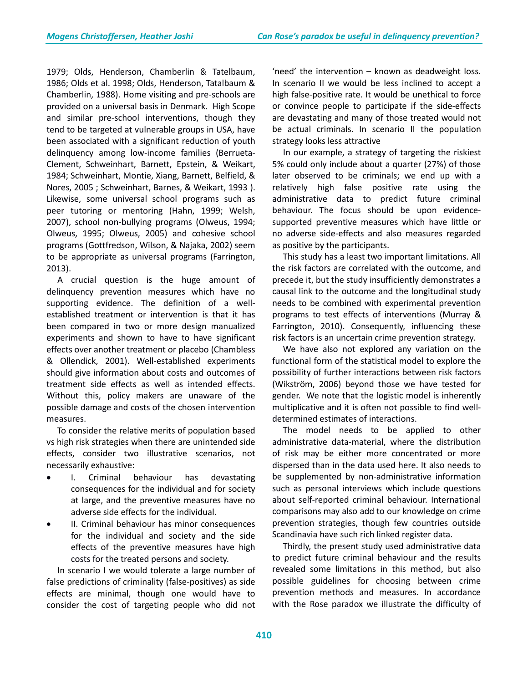1979; Olds, Henderson, Chamberlin & Tatelbaum, 1986; Olds et al. 1998; Olds, Henderson, Tatalbaum & Chamberlin, 1988). Home visiting and pre-schools are provided on a universal basis in Denmark. High Scope and similar pre-school interventions, though they tend to be targeted at vulnerable groups in USA, have been associated with a significant reduction of youth delinquency among low-income families (Berrueta-Clement, Schweinhart, Barnett, Epstein, & Weikart, 1984; Schweinhart, Montie, Xiang, Barnett, Belfield, & Nores, 2005 ; Schweinhart, Barnes, & Weikart, 1993 ). Likewise, some universal school programs such as peer tutoring or mentoring (Hahn, 1999; Welsh, 2007), school non-bullying programs (Olweus, 1994; Olweus, 1995; Olweus, 2005) and cohesive school programs (Gottfredson, Wilson, & Najaka, 2002) seem to be appropriate as universal programs (Farrington, 2013).

 A crucial question is the huge amount of delinquency prevention measures which have no supporting evidence. The definition of a wellestablished treatment or intervention is that it has been compared in two or more design manualized experiments and shown to have to have significant effects over another treatment or placebo (Chambless & Ollendick, 2001). Well-established experiments should give information about costs and outcomes of treatment side effects as well as intended effects. Without this, policy makers are unaware of the possible damage and costs of the chosen intervention measures.

 To consider the relative merits of population based vs high risk strategies when there are unintended side effects, consider two illustrative scenarios, not necessarily exhaustive:

- I. Criminal behaviour has devastating consequences for the individual and for society at large, and the preventive measures have no adverse side effects for the individual.
- II. Criminal behaviour has minor consequences for the individual and society and the side effects of the preventive measures have high costs for the treated persons and society.

 In scenario I we would tolerate a large number of false predictions of criminality (false-positives) as side effects are minimal, though one would have to consider the cost of targeting people who did not 'need' the intervention – known as deadweight loss. In scenario II we would be less inclined to accept a high false-positive rate. It would be unethical to force or convince people to participate if the side-effects are devastating and many of those treated would not be actual criminals. In scenario II the population strategy looks less attractive

 In our example, a strategy of targeting the riskiest 5% could only include about a quarter (27%) of those later observed to be criminals; we end up with a relatively high false positive rate using the administrative data to predict future criminal behaviour. The focus should be upon evidencesupported preventive measures which have little or no adverse side-effects and also measures regarded as positive by the participants.

 This study has a least two important limitations. All the risk factors are correlated with the outcome, and precede it, but the study insufficiently demonstrates a causal link to the outcome and the longitudinal study needs to be combined with experimental prevention programs to test effects of interventions (Murray & Farrington, 2010). Consequently, influencing these risk factors is an uncertain crime prevention strategy.

 We have also not explored any variation on the functional form of the statistical model to explore the possibility of further interactions between risk factors (Wikström, 2006) beyond those we have tested for gender. We note that the logistic model is inherently multiplicative and it is often not possible to find welldetermined estimates of interactions.

 The model needs to be applied to other administrative data-material, where the distribution of risk may be either more concentrated or more dispersed than in the data used here. It also needs to be supplemented by non-administrative information such as personal interviews which include questions about self-reported criminal behaviour. International comparisons may also add to our knowledge on crime prevention strategies, though few countries outside Scandinavia have such rich linked register data.

 Thirdly, the present study used administrative data to predict future criminal behaviour and the results revealed some limitations in this method, but also possible guidelines for choosing between crime prevention methods and measures. In accordance with the Rose paradox we illustrate the difficulty of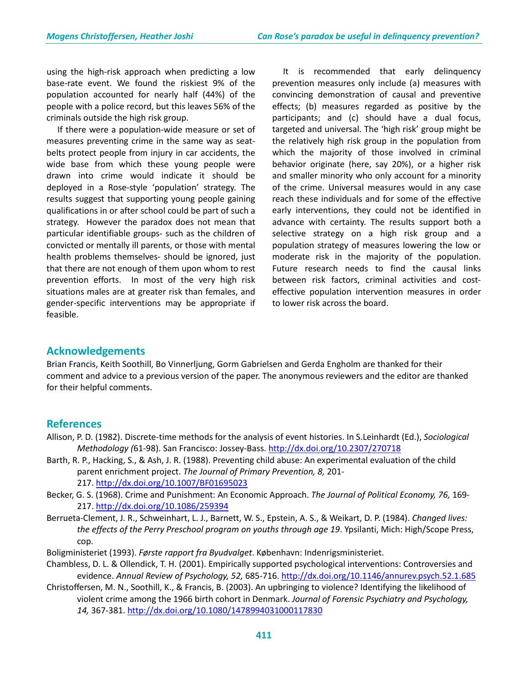using the high-risk approach when predicting a low base-rate event. We found the riskiest 9% of the population accounted for nearly half (44%) of the people with a police record, but this leaves 56% of the criminals outside the high risk group.

 If there were a population-wide measure or set of measures preventing crime in the same way as seatbelts protect people from injury in car accidents, the wide base from which these young people were drawn into crime would indicate it should be deployed in a Rose-style 'population' strategy. The results suggest that supporting young people gaining qualifications in or after school could be part of such a strategy. However the paradox does not mean that particular identifiable groups- such as the children of convicted or mentally ill parents, or those with mental health problems themselves- should be ignored, just that there are not enough of them upon whom to rest prevention efforts. In most of the very high risk situations males are at greater risk than females, and gender-specific interventions may be appropriate if feasible.

 It is recommended that early delinquency prevention measures only include (a) measures with convincing demonstration of causal and preventive effects; (b) measures regarded as positive by the participants; and (c) should have a dual focus, targeted and universal. The 'high risk' group might be the relatively high risk group in the population from which the majority of those involved in criminal behavior originate (here, say 20%), or a higher risk and smaller minority who only account for a minority of the crime. Universal measures would in any case reach these individuals and for some of the effective early interventions, they could not be identified in advance with certainty. The results support both a selective strategy on a high risk group and a population strategy of measures lowering the low or moderate risk in the majority of the population. Future research needs to find the causal links between risk factors, criminal activities and costeffective population intervention measures in order to lower risk across the board.

### **Acknowledgements**

Brian Francis, Keith Soothill, Bo Vinnerljung, Gorm Gabrielsen and Gerda Engholm are thanked for their comment and advice to a previous version of the paper. The anonymous reviewers and the editor are thanked for their helpful comments.

### **References**

- Allison, P. D. (1982). Discrete-time methods for the analysis of event histories. In S.Leinhardt (Ed.), *Sociological Methodology (*61-98). San Francisco: Jossey-Bass. <http://dx.doi.org/10.2307/270718>
- Barth, R. P., Hacking, S., & Ash, J. R. (1988). Preventing child abuse: An experimental evaluation of the child parent enrichment project. *The Journal of Primary Prevention, 8,* 201- 217. <http://dx.doi.org/10.1007/BF01695023>
- Becker, G. S. (1968). Crime and Punishment: An Economic Approach. *The Journal of Political Economy, 76,* 169- 217. <http://dx.doi.org/10.1086/259394>
- Berrueta-Clement, J. R., Schweinhart, L. J., Barnett, W. S., Epstein, A. S., & Weikart, D. P. (1984). *Changed lives: the effects of the Perry Preschool program on youths through age 19*. Ypsilanti, Mich: High/Scope Press, cop.
- Boligministeriet (1993). *Første rapport fra Byudvalget*. København: Indenrigsministeriet.
- Chambless, D. L. & Ollendick, T. H. (2001). Empirically supported psychological interventions: Controversies and evidence. *Annual Review of Psychology, 52,* 685-716[. http://dx.doi.org/10.1146/annurev.psych.52.1.685](http://dx.doi.org/10.1146/annurev.psych.52.1.685)
- Christoffersen, M. N., Soothill, K., & Francis, B. (2003). An upbringing to violence? Identifying the likelihood of violent crime among the 1966 birth cohort in Denmark. *Journal of Forensic Psychiatry and Psychology, 14,* 367-381. <http://dx.doi.org/10.1080/1478994031000117830>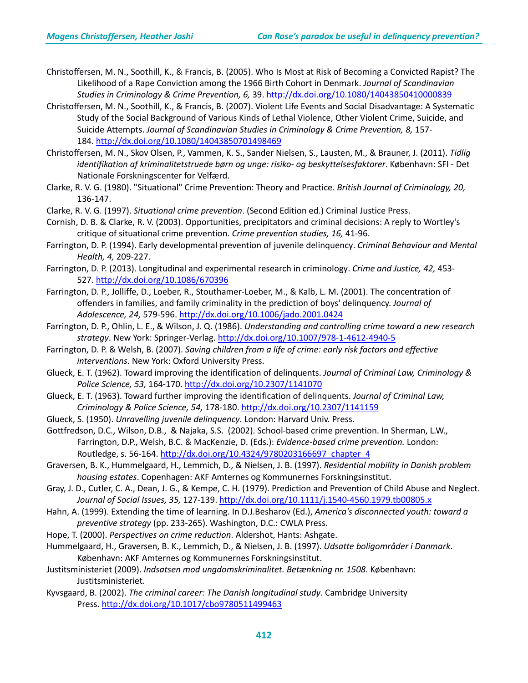- Christoffersen, M. N., Soothill, K., & Francis, B. (2005). Who Is Most at Risk of Becoming a Convicted Rapist? The Likelihood of a Rape Conviction among the 1966 Birth Cohort in Denmark. *Journal of Scandinavian Studies in Criminology & Crime Prevention, 6,* 39. <http://dx.doi.org/10.1080/14043850410000839>
- Christoffersen, M. N., Soothill, K., & Francis, B. (2007). Violent Life Events and Social Disadvantage: A Systematic Study of the Social Background of Various Kinds of Lethal Violence, Other Violent Crime, Suicide, and Suicide Attempts. *Journal of Scandinavian Studies in Criminology & Crime Prevention, 8,* 157- 184. <http://dx.doi.org/10.1080/14043850701498469>
- Christoffersen, M. N., Skov Olsen, P., Vammen, K. S., Sander Nielsen, S., Lausten, M., & Brauner, J. (2011). *Tidlig identifikation af kriminalitetstruede børn og unge: risiko- og beskyttelsesfaktorer*. København: SFI - Det Nationale Forskningscenter for Velfærd.
- Clarke, R. V. G. (1980). "Situational" Crime Prevention: Theory and Practice. *British Journal of Criminology, 20,* 136-147.
- Clarke, R. V. G. (1997). *Situational crime prevention*. (Second Edition ed.) Criminal Justice Press.
- Cornish, D. B. & Clarke, R. V. (2003). Opportunities, precipitators and criminal decisions: A reply to Wortley's critique of situational crime prevention. *Crime prevention studies, 16,* 41-96.
- Farrington, D. P. (1994). Early developmental prevention of juvenile delinquency. *Criminal Behaviour and Mental Health, 4,* 209-227.
- Farrington, D. P. (2013). Longitudinal and experimental research in criminology. *Crime and Justice, 42,* 453- 527. <http://dx.doi.org/10.1086/670396>
- Farrington, D. P., Jolliffe, D., Loeber, R., Stouthamer-Loeber, M., & Kalb, L. M. (2001). The concentration of offenders in families, and family criminality in the prediction of boys' delinquency. *Journal of Adolescence, 24,* 579-596. <http://dx.doi.org/10.1006/jado.2001.0424>
- Farrington, D. P., Ohlin, L. E., & Wilson, J. Q. (1986). *Understanding and controlling crime toward a new research strategy*. New York: Springer-Verlag. <http://dx.doi.org/10.1007/978-1-4612-4940-5>
- Farrington, D. P. & Welsh, B. (2007). *Saving children from a life of crime: early risk factors and effective interventions*. New York: Oxford University Press.
- Glueck, E. T. (1962). Toward improving the identification of delinquents. *Journal of Criminal Law, Criminology & Police Science, 53,* 164-170. <http://dx.doi.org/10.2307/1141070>
- Glueck, E. T. (1963). Toward further improving the identification of delinquents. *Journal of Criminal Law, Criminology & Police Science, 54,* 178-180. <http://dx.doi.org/10.2307/1141159>
- Glueck, S. (1950). *Unravelling juvenile delinquency*. London: Harvard Univ. Press.
- Gottfredson, D.C., Wilson, D.B., & Najaka, S.S. (2002). School-based crime prevention. In Sherman, L.W., Farrington, D.P., Welsh, B.C. & MacKenzie, D. (Eds.): *Evidence-based crime prevention.* London: Routledge, s. 56-164. [http://dx.doi.org/10.4324/9780203166697\\_chapter\\_4](http://dx.doi.org/10.4324/9780203166697_chapter_4)
- Graversen, B. K., Hummelgaard, H., Lemmich, D., & Nielsen, J. B. (1997). *Residential mobility in Danish problem housing estates*. Copenhagen: AKF Amternes og Kommunernes Forskningsinstitut.
- Gray, J. D., Cutler, C. A., Dean, J. G., & Kempe, C. H. (1979). Prediction and Prevention of Child Abuse and Neglect. *Journal of Social Issues, 35,* 127-139. <http://dx.doi.org/10.1111/j.1540-4560.1979.tb00805.x>
- Hahn, A. (1999). Extending the time of learning. In D.J.Besharov (Ed.), *America's disconnected youth: toward a preventive strategy* (pp. 233-265). Washington, D.C.: CWLA Press.
- Hope, T. (2000). *Perspectives on crime reduction*. Aldershot, Hants: Ashgate.
- Hummelgaard, H., Graversen, B. K., Lemmich, D., & Nielsen, J. B. (1997). *Udsatte boligområder i Danmark*. København: AKF Amternes og Kommunernes Forskningsinstitut.
- Justitsministeriet (2009). *Indsatsen mod ungdomskriminalitet. Betænkning nr. 1508*. København: Justitsministeriet.
- Kyvsgaard, B. (2002). *The criminal career: The Danish longitudinal study*. Cambridge University Press. <http://dx.doi.org/10.1017/cbo9780511499463>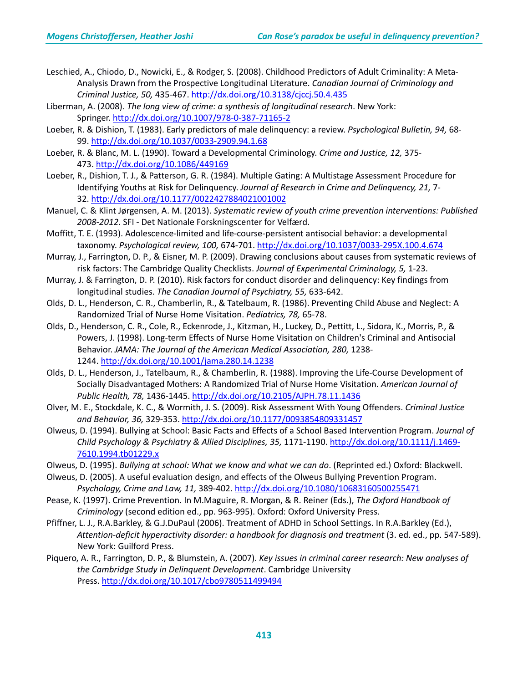- Leschied, A., Chiodo, D., Nowicki, E., & Rodger, S. (2008). Childhood Predictors of Adult Criminality: A Meta-Analysis Drawn from the Prospective Longitudinal Literature. *Canadian Journal of Criminology and Criminal Justice, 50,* 435-467. <http://dx.doi.org/10.3138/cjccj.50.4.435>
- Liberman, A. (2008). *The long view of crime: a synthesis of longitudinal research*. New York: Springer. <http://dx.doi.org/10.1007/978-0-387-71165-2>
- Loeber, R. & Dishion, T. (1983). Early predictors of male delinquency: a review. *Psychological Bulletin, 94,* 68- 99. <http://dx.doi.org/10.1037/0033-2909.94.1.68>
- Loeber, R. & Blanc, M. L. (1990). Toward a Developmental Criminology. *Crime and Justice, 12,* 375- 473. <http://dx.doi.org/10.1086/449169>
- Loeber, R., Dishion, T. J., & Patterson, G. R. (1984). Multiple Gating: A Multistage Assessment Procedure for Identifying Youths at Risk for Delinquency. *Journal of Research in Crime and Delinquency, 21,* 7- 32. <http://dx.doi.org/10.1177/0022427884021001002>
- Manuel, C. & Klint Jørgensen, A. M. (2013). *Systematic review of youth crime prevention interventions: Published 2008-2012*. SFI - Det Nationale Forskningscenter for Velfærd.
- Moffitt, T. E. (1993). Adolescence-limited and life-course-persistent antisocial behavior: a developmental taxonomy. *Psychological review, 100,* 674-701. <http://dx.doi.org/10.1037/0033-295X.100.4.674>
- Murray, J., Farrington, D. P., & Eisner, M. P. (2009). Drawing conclusions about causes from systematic reviews of risk factors: The Cambridge Quality Checklists. *Journal of Experimental Criminology, 5,* 1-23.
- Murray, J. & Farrington, D. P. (2010). Risk factors for conduct disorder and delinquency: Key findings from longitudinal studies. *The Canadian Journal of Psychiatry, 55,* 633-642.
- Olds, D. L., Henderson, C. R., Chamberlin, R., & Tatelbaum, R. (1986). Preventing Child Abuse and Neglect: A Randomized Trial of Nurse Home Visitation. *Pediatrics, 78,* 65-78.
- Olds, D., Henderson, C. R., Cole, R., Eckenrode, J., Kitzman, H., Luckey, D., Pettitt, L., Sidora, K., Morris, P., & Powers, J. (1998). Long-term Effects of Nurse Home Visitation on Children's Criminal and Antisocial Behavior. *JAMA: The Journal of the American Medical Association, 280,* 1238- 1244. <http://dx.doi.org/10.1001/jama.280.14.1238>
- Olds, D. L., Henderson, J., Tatelbaum, R., & Chamberlin, R. (1988). Improving the Life-Course Development of Socially Disadvantaged Mothers: A Randomized Trial of Nurse Home Visitation. *American Journal of Public Health, 78,* 1436-1445. <http://dx.doi.org/10.2105/AJPH.78.11.1436>
- Olver, M. E., Stockdale, K. C., & Wormith, J. S. (2009). Risk Assessment With Young Offenders. *Criminal Justice and Behavior, 36,* 329-353. <http://dx.doi.org/10.1177/0093854809331457>
- Olweus, D. (1994). Bullying at School: Basic Facts and Effects of a School Based Intervention Program. *Journal of Child Psychology & Psychiatry & Allied Disciplines, 35,* 1171-1190. [http://dx.doi.org/10.1111/j.1469-](http://dx.doi.org/10.1111/j.1469-7610.1994.tb01229.x) [7610.1994.tb01229.x](http://dx.doi.org/10.1111/j.1469-7610.1994.tb01229.x)
- Olweus, D. (1995). *Bullying at school: What we know and what we can do*. (Reprinted ed.) Oxford: Blackwell.
- Olweus, D. (2005). A useful evaluation design, and effects of the Olweus Bullying Prevention Program. *Psychology, Crime and Law, 11,* 389-402. <http://dx.doi.org/10.1080/10683160500255471>
- Pease, K. (1997). Crime Prevention. In M.Maguire, R. Morgan, & R. Reiner (Eds.), *The Oxford Handbook of Criminology* (second edition ed., pp. 963-995). Oxford: Oxford University Press.
- Pfiffner, L. J., R.A.Barkley, & G.J.DuPaul (2006). Treatment of ADHD in School Settings. In R.A.Barkley (Ed.), *Attention-deficit hyperactivity disorder: a handbook for diagnosis and treatment* (3. ed. ed., pp. 547-589). New York: Guilford Press.
- Piquero, A. R., Farrington, D. P., & Blumstein, A. (2007). *Key issues in criminal career research: New analyses of the Cambridge Study in Delinquent Development*. Cambridge University Press. <http://dx.doi.org/10.1017/cbo9780511499494>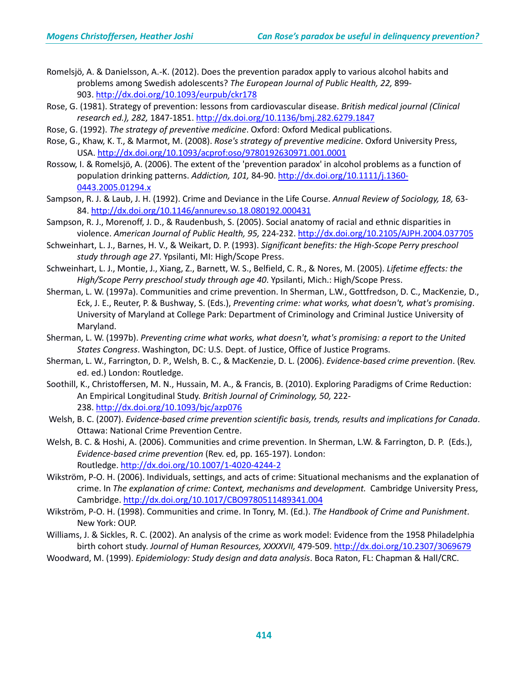- Romelsjö, A. & Danielsson, A.-K. (2012). Does the prevention paradox apply to various alcohol habits and problems among Swedish adolescents? *The European Journal of Public Health, 22,* 899- 903. <http://dx.doi.org/10.1093/eurpub/ckr178>
- Rose, G. (1981). Strategy of prevention: lessons from cardiovascular disease. *British medical journal (Clinical research ed.), 282,* 1847-1851. <http://dx.doi.org/10.1136/bmj.282.6279.1847>
- Rose, G. (1992). *The strategy of preventive medicine*. Oxford: Oxford Medical publications.
- Rose, G., Khaw, K. T., & Marmot, M. (2008). *Rose's strategy of preventive medicine*. Oxford University Press, USA. <http://dx.doi.org/10.1093/acprof:oso/9780192630971.001.0001>
- Rossow, I. & Romelsjö, A. (2006). The extent of the 'prevention paradox' in alcohol problems as a function of population drinking patterns. *Addiction, 101,* 84-90. [http://dx.doi.org/10.1111/j.1360-](http://dx.doi.org/10.1111/j.1360-0443.2005.01294.x) [0443.2005.01294.x](http://dx.doi.org/10.1111/j.1360-0443.2005.01294.x)
- Sampson, R. J. & Laub, J. H. (1992). Crime and Deviance in the Life Course. *Annual Review of Sociology, 18,* 63- 84. <http://dx.doi.org/10.1146/annurev.so.18.080192.000431>
- Sampson, R. J., Morenoff, J. D., & Raudenbush, S. (2005). Social anatomy of racial and ethnic disparities in violence. *American Journal of Public Health, 95,* 224-232. <http://dx.doi.org/10.2105/AJPH.2004.037705>
- Schweinhart, L. J., Barnes, H. V., & Weikart, D. P. (1993). *Significant benefits: the High-Scope Perry preschool study through age 27*. Ypsilanti, MI: High/Scope Press.
- Schweinhart, L. J., Montie, J., Xiang, Z., Barnett, W. S., Belfield, C. R., & Nores, M. (2005). *Lifetime effects: the High/Scope Perry preschool study through age 40*. Ypsilanti, Mich.: High/Scope Press.
- Sherman, L. W. (1997a). Communities and crime prevention. In Sherman, L.W., Gottfredson, D. C., MacKenzie, D., Eck, J. E., Reuter, P. & Bushway, S. (Eds.), *Preventing crime: what works, what doesn't, what's promising*. University of Maryland at College Park: Department of Criminology and Criminal Justice University of Maryland.
- Sherman, L. W. (1997b). *Preventing crime what works, what doesn't, what's promising: a report to the United States Congress*. Washington, DC: U.S. Dept. of Justice, Office of Justice Programs.
- Sherman, L. W., Farrington, D. P., Welsh, B. C., & MacKenzie, D. L. (2006). *Evidence-based crime prevention*. (Rev. ed. ed.) London: Routledge.
- Soothill, K., Christoffersen, M. N., Hussain, M. A., & Francis, B. (2010). Exploring Paradigms of Crime Reduction: An Empirical Longitudinal Study. *British Journal of Criminology, 50,* 222- 238. <http://dx.doi.org/10.1093/bjc/azp076>
- Welsh, B. C. (2007). *Evidence-based crime prevention scientific basis, trends, results and implications for Canada*. Ottawa: National Crime Prevention Centre.
- Welsh, B. C. & Hoshi, A. (2006). Communities and crime prevention. In Sherman, L.W. & Farrington, D. P. (Eds.), *Evidence-based crime prevention* (Rev. ed, pp. 165-197). London: Routledge. <http://dx.doi.org/10.1007/1-4020-4244-2>
- Wikström, P-O. H. (2006). Individuals, settings, and acts of crime: Situational mechanisms and the explanation of crime. In *The explanation of crime: Context, mechanisms and development.* Cambridge University Press, Cambridge. <http://dx.doi.org/10.1017/CBO9780511489341.004>
- Wikström, P-O. H. (1998). Communities and crime. In Tonry, M. (Ed.). *The Handbook of Crime and Punishment*. New York: OUP.
- Williams, J. & Sickles, R. C. (2002). An analysis of the crime as work model: Evidence from the 1958 Philadelphia birth cohort study. *Journal of Human Resources, XXXXVII,* 479-509. <http://dx.doi.org/10.2307/3069679>
- Woodward, M. (1999). *Epidemiology: Study design and data analysis*. Boca Raton, FL: Chapman & Hall/CRC.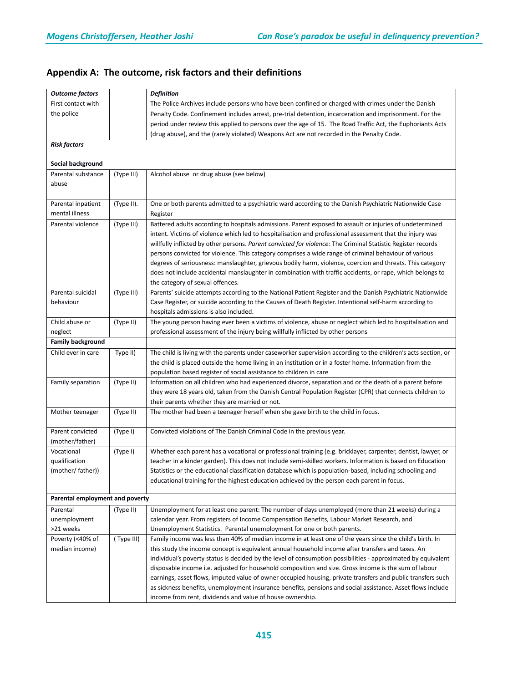| <b>Outcome factors</b>          |            | <b>Definition</b>                                                                                              |
|---------------------------------|------------|----------------------------------------------------------------------------------------------------------------|
| First contact with              |            | The Police Archives include persons who have been confined or charged with crimes under the Danish             |
| the police                      |            | Penalty Code. Confinement includes arrest, pre-trial detention, incarceration and imprisonment. For the        |
|                                 |            | period under review this applied to persons over the age of 15. The Road Traffic Act, the Euphoriants Acts     |
|                                 |            | (drug abuse), and the (rarely violated) Weapons Act are not recorded in the Penalty Code.                      |
| <b>Risk factors</b>             |            |                                                                                                                |
|                                 |            |                                                                                                                |
| Social background               |            |                                                                                                                |
| Parental substance              | (Type III) | Alcohol abuse or drug abuse (see below)                                                                        |
| abuse                           |            |                                                                                                                |
|                                 |            |                                                                                                                |
| Parental inpatient              | (Type II). | One or both parents admitted to a psychiatric ward according to the Danish Psychiatric Nationwide Case         |
| mental illness                  |            | Register                                                                                                       |
| Parental violence               | (Type III) | Battered adults according to hospitals admissions. Parent exposed to assault or injuries of undetermined       |
|                                 |            | intent. Victims of violence which led to hospitalisation and professional assessment that the injury was       |
|                                 |            | willfully inflicted by other persons. Parent convicted for violence: The Criminal Statistic Register records   |
|                                 |            | persons convicted for violence. This category comprises a wide range of criminal behaviour of various          |
|                                 |            | degrees of seriousness: manslaughter, grievous bodily harm, violence, coercion and threats. This category      |
|                                 |            | does not include accidental manslaughter in combination with traffic accidents, or rape, which belongs to      |
|                                 |            | the category of sexual offences.                                                                               |
| Parental suicidal               | (Type III) | Parents' suicide attempts according to the National Patient Register and the Danish Psychiatric Nationwide     |
| behaviour                       |            | Case Register, or suicide according to the Causes of Death Register. Intentional self-harm according to        |
|                                 |            | hospitals admissions is also included.                                                                         |
| Child abuse or                  | (Type II)  | The young person having ever been a victims of violence, abuse or neglect which led to hospitalisation and     |
| neglect                         |            | professional assessment of the injury being willfully inflicted by other persons                               |
| <b>Family background</b>        |            |                                                                                                                |
| Child ever in care              | Type II)   | The child is living with the parents under caseworker supervision according to the children's acts section, or |
|                                 |            | the child is placed outside the home living in an institution or in a foster home. Information from the        |
|                                 |            | population based register of social assistance to children in care                                             |
| Family separation               | (Type II)  | Information on all children who had experienced divorce, separation and or the death of a parent before        |
|                                 |            | they were 18 years old, taken from the Danish Central Population Register (CPR) that connects children to      |
|                                 |            | their parents whether they are married or not.                                                                 |
| Mother teenager                 | (Type II)  | The mother had been a teenager herself when she gave birth to the child in focus.                              |
|                                 |            |                                                                                                                |
| Parent convicted                | (Type I)   | Convicted violations of The Danish Criminal Code in the previous year.                                         |
| (mother/father)                 |            |                                                                                                                |
| Vocational                      | (Type I)   | Whether each parent has a vocational or professional training (e.g. bricklayer, carpenter, dentist, lawyer, or |
| qualification                   |            | teacher in a kinder garden). This does not include semi-skilled workers. Information is based on Education     |
| (mother/father))                |            | Statistics or the educational classification database which is population-based, including schooling and       |
|                                 |            | educational training for the highest education achieved by the person each parent in focus.                    |
|                                 |            |                                                                                                                |
| Parental employment and poverty |            |                                                                                                                |
| Parental                        | (Type II)  | Unemployment for at least one parent: The number of days unemployed (more than 21 weeks) during a              |
| unemployment                    |            | calendar year. From registers of Income Compensation Benefits, Labour Market Research, and                     |
| >21 weeks                       |            | Unemployment Statistics. Parental unemployment for one or both parents.                                        |
| Poverty (<40% of                | (Type III) | Family income was less than 40% of median income in at least one of the years since the child's birth. In      |
| median income)                  |            | this study the income concept is equivalent annual household income after transfers and taxes. An              |
|                                 |            | individual's poverty status is decided by the level of consumption possibilities - approximated by equivalent  |
|                                 |            | disposable income i.e. adjusted for household composition and size. Gross income is the sum of labour          |
|                                 |            | earnings, asset flows, imputed value of owner occupied housing, private transfers and public transfers such    |
|                                 |            | as sickness benefits, unemployment insurance benefits, pensions and social assistance. Asset flows include     |
|                                 |            | income from rent, dividends and value of house ownership.                                                      |

## **Appendix A: The outcome, risk factors and their definitions**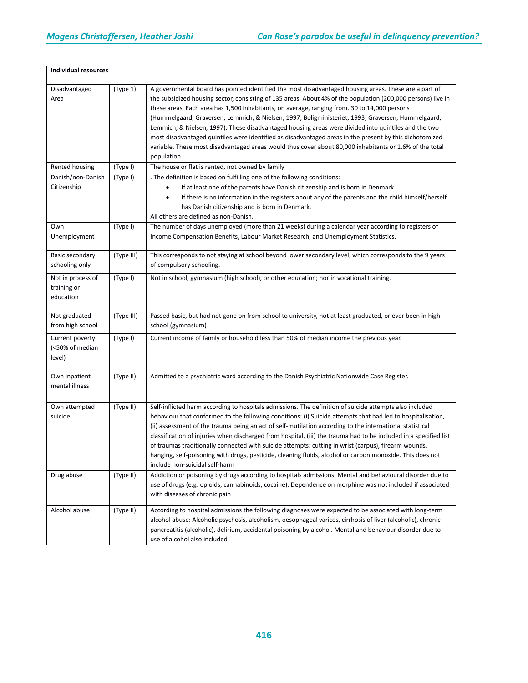| <b>Individual resources</b>                   |            |                                                                                                                                                                                                                                                                                                                                                                                                                                                                                                                                                                                                                                                                                                                                                                          |
|-----------------------------------------------|------------|--------------------------------------------------------------------------------------------------------------------------------------------------------------------------------------------------------------------------------------------------------------------------------------------------------------------------------------------------------------------------------------------------------------------------------------------------------------------------------------------------------------------------------------------------------------------------------------------------------------------------------------------------------------------------------------------------------------------------------------------------------------------------|
| Disadvantaged<br>Area                         | (Type 1)   | A governmental board has pointed identified the most disadvantaged housing areas. These are a part of<br>the subsidized housing sector, consisting of 135 areas. About 4% of the population (200,000 persons) live in<br>these areas. Each area has 1,500 inhabitants, on average, ranging from. 30 to 14,000 persons<br>(Hummelgaard, Graversen, Lemmich, & Nielsen, 1997; Boligministeriet, 1993; Graversen, Hummelgaard,<br>Lemmich, & Nielsen, 1997). These disadvantaged housing areas were divided into quintiles and the two<br>most disadvantaged quintiles were identified as disadvantaged areas in the present by this dichotomized<br>variable. These most disadvantaged areas would thus cover about 80,000 inhabitants or 1.6% of the total<br>population. |
| Rented housing                                | (Type I)   | The house or flat is rented, not owned by family                                                                                                                                                                                                                                                                                                                                                                                                                                                                                                                                                                                                                                                                                                                         |
| Danish/non-Danish<br>Citizenship              | (Type I)   | . The definition is based on fulfilling one of the following conditions:<br>If at least one of the parents have Danish citizenship and is born in Denmark.<br>If there is no information in the registers about any of the parents and the child himself/herself<br>has Danish citizenship and is born in Denmark.<br>All others are defined as non-Danish.                                                                                                                                                                                                                                                                                                                                                                                                              |
| Own<br>Unemployment                           | (Type I)   | The number of days unemployed (more than 21 weeks) during a calendar year according to registers of<br>Income Compensation Benefits, Labour Market Research, and Unemployment Statistics.                                                                                                                                                                                                                                                                                                                                                                                                                                                                                                                                                                                |
| Basic secondary<br>schooling only             | (Type III) | This corresponds to not staying at school beyond lower secondary level, which corresponds to the 9 years<br>of compulsory schooling.                                                                                                                                                                                                                                                                                                                                                                                                                                                                                                                                                                                                                                     |
| Not in process of<br>training or<br>education | (Type I)   | Not in school, gymnasium (high school), or other education; nor in vocational training.                                                                                                                                                                                                                                                                                                                                                                                                                                                                                                                                                                                                                                                                                  |
| Not graduated<br>from high school             | (Type III) | Passed basic, but had not gone on from school to university, not at least graduated, or ever been in high<br>school (gymnasium)                                                                                                                                                                                                                                                                                                                                                                                                                                                                                                                                                                                                                                          |
| Current poverty<br>(<50% of median<br>level)  | (Type I)   | Current income of family or household less than 50% of median income the previous year.                                                                                                                                                                                                                                                                                                                                                                                                                                                                                                                                                                                                                                                                                  |
| Own inpatient<br>mental illness               | (Type II)  | Admitted to a psychiatric ward according to the Danish Psychiatric Nationwide Case Register.                                                                                                                                                                                                                                                                                                                                                                                                                                                                                                                                                                                                                                                                             |
| Own attempted<br>suicide                      | (Type II)  | Self-inflicted harm according to hospitals admissions. The definition of suicide attempts also included<br>behaviour that conformed to the following conditions: (i) Suicide attempts that had led to hospitalisation,<br>(ii) assessment of the trauma being an act of self-mutilation according to the international statistical<br>classification of injuries when discharged from hospital, (iii) the trauma had to be included in a specified list<br>of traumas traditionally connected with suicide attempts: cutting in wrist (carpus), firearm wounds,<br>hanging, self-poisoning with drugs, pesticide, cleaning fluids, alcohol or carbon monoxide. This does not<br>include non-suicidal self-harm                                                           |
| Drug abuse                                    | (Type II)  | Addiction or poisoning by drugs according to hospitals admissions. Mental and behavioural disorder due to<br>use of drugs (e.g. opioids, cannabinoids, cocaine). Dependence on morphine was not included if associated<br>with diseases of chronic pain                                                                                                                                                                                                                                                                                                                                                                                                                                                                                                                  |
| Alcohol abuse                                 | (Type II)  | According to hospital admissions the following diagnoses were expected to be associated with long-term<br>alcohol abuse: Alcoholic psychosis, alcoholism, oesophageal varices, cirrhosis of liver (alcoholic), chronic<br>pancreatitis (alcoholic), delirium, accidental poisoning by alcohol. Mental and behaviour disorder due to<br>use of alcohol also included                                                                                                                                                                                                                                                                                                                                                                                                      |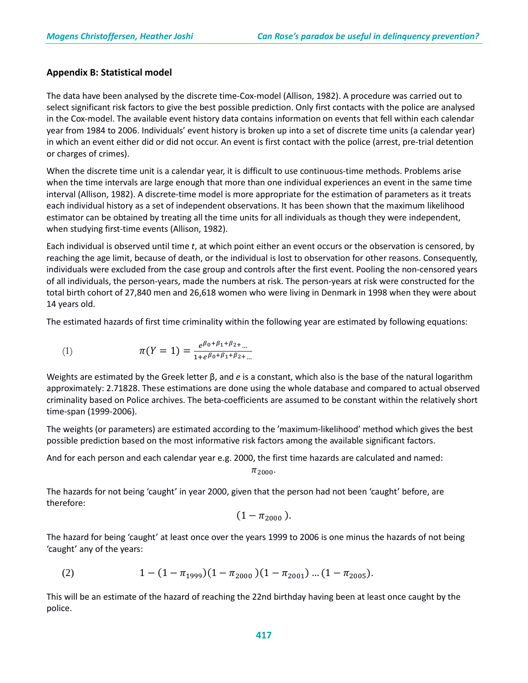### **Appendix B: Statistical model**

The data have been analysed by the discrete time-Cox-model (Allison, 1982). A procedure was carried out to select significant risk factors to give the best possible prediction. Only first contacts with the police are analysed in the Cox-model. The available event history data contains information on events that fell within each calendar year from 1984 to 2006. Individuals' event history is broken up into a set of discrete time units (a calendar year) in which an event either did or did not occur. An event is first contact with the police (arrest, pre-trial detention or charges of crimes).

When the discrete time unit is a calendar year, it is difficult to use continuous-time methods. Problems arise when the time intervals are large enough that more than one individual experiences an event in the same time interval (Allison, 1982). A discrete-time model is more appropriate for the estimation of parameters as it treats each individual history as a set of independent observations. It has been shown that the maximum likelihood estimator can be obtained by treating all the time units for all individuals as though they were independent, when studying first-time events (Allison, 1982).

Each individual is observed until time *t*, at which point either an event occurs or the observation is censored, by reaching the age limit, because of death, or the individual is lost to observation for other reasons. Consequently, individuals were excluded from the case group and controls after the first event. Pooling the non-censored years of all individuals, the person-years, made the numbers at risk. The person-years at risk were constructed for the total birth cohort of 27,840 men and 26,618 women who were living in Denmark in 1998 when they were about 14 years old.

The estimated hazards of first time criminality within the following year are estimated by following equations:

(1) 
$$
\pi(Y=1) = \frac{e^{\beta_0 + \beta_1 + \beta_2 + \dots}}{1 + e^{\beta_0 + \beta_1 + \beta_2 + \dots}}
$$

Weights are estimated by the Greek letter β, and *e* is a constant, which also is the base of the natural logarithm approximately: 2.71828. These estimations are done using the whole database and compared to actual observed criminality based on Police archives. The beta-coefficients are assumed to be constant within the relatively short time-span (1999-2006).

The weights (or parameters) are estimated according to the 'maximum-likelihood' method which gives the best possible prediction based on the most informative risk factors among the available significant factors.

And for each person and each calendar year e.g. 2000, the first time hazards are calculated and named:

 $\pi_{2000}$ .

The hazards for not being 'caught' in year 2000, given that the person had not been 'caught' before, are therefore:

$$
(1 - \pi_{2000}).
$$

The hazard for being 'caught' at least once over the years 1999 to 2006 is one minus the hazards of not being 'caught' any of the years:

(2) 
$$
1 - (1 - \pi_{1999})(1 - \pi_{2000})(1 - \pi_{2001})...(1 - \pi_{2005}).
$$

This will be an estimate of the hazard of reaching the 22nd birthday having been at least once caught by the police.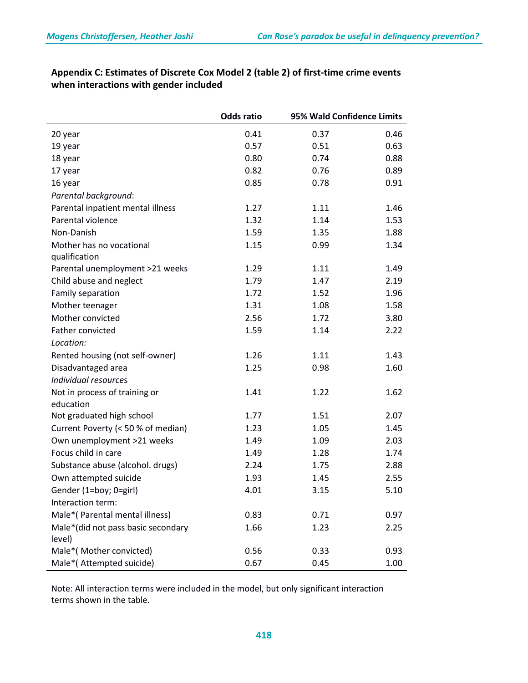|                                              | <b>Odds ratio</b> | 95% Wald Confidence Limits |      |
|----------------------------------------------|-------------------|----------------------------|------|
| 20 year                                      | 0.41              | 0.37                       | 0.46 |
| 19 year                                      | 0.57              | 0.51                       | 0.63 |
| 18 year                                      | 0.80              | 0.74                       | 0.88 |
| 17 year                                      | 0.82              | 0.76                       | 0.89 |
| 16 year                                      | 0.85              | 0.78                       | 0.91 |
| Parental background:                         |                   |                            |      |
| Parental inpatient mental illness            | 1.27              | 1.11                       | 1.46 |
| Parental violence                            | 1.32              | 1.14                       | 1.53 |
| Non-Danish                                   | 1.59              | 1.35                       | 1.88 |
| Mother has no vocational                     | 1.15              | 0.99                       | 1.34 |
| qualification                                |                   |                            |      |
| Parental unemployment >21 weeks              | 1.29              | 1.11                       | 1.49 |
| Child abuse and neglect                      | 1.79              | 1.47                       | 2.19 |
| Family separation                            | 1.72              | 1.52                       | 1.96 |
| Mother teenager                              | 1.31              | 1.08                       | 1.58 |
| Mother convicted                             | 2.56              | 1.72                       | 3.80 |
| Father convicted                             | 1.59              | 1.14                       | 2.22 |
| Location:                                    |                   |                            |      |
| Rented housing (not self-owner)              | 1.26              | 1.11                       | 1.43 |
| Disadvantaged area                           | 1.25              | 0.98                       | 1.60 |
| Individual resources                         |                   |                            |      |
| Not in process of training or                | 1.41              | 1.22                       | 1.62 |
| education                                    |                   |                            |      |
| Not graduated high school                    | 1.77              | 1.51                       | 2.07 |
| Current Poverty (< 50 % of median)           | 1.23              | 1.05                       | 1.45 |
| Own unemployment >21 weeks                   | 1.49              | 1.09                       | 2.03 |
| Focus child in care                          | 1.49              | 1.28                       | 1.74 |
| Substance abuse (alcohol. drugs)             | 2.24              | 1.75                       | 2.88 |
| Own attempted suicide                        | 1.93              | 1.45                       | 2.55 |
| Gender (1=boy; 0=girl)                       | 4.01              | 3.15                       | 5.10 |
| Interaction term:                            |                   |                            |      |
| Male*(Parental mental illness)               | 0.83              | 0.71                       | 0.97 |
| Male*(did not pass basic secondary<br>level) | 1.66              | 1.23                       | 2.25 |
| Male*(Mother convicted)                      | 0.56              | 0.33                       | 0.93 |
| Male*(Attempted suicide)                     | 0.67              | 0.45                       | 1.00 |

## **Appendix C: Estimates of Discrete Cox Model 2 (table 2) of first-time crime events when interactions with gender included**

Note: All interaction terms were included in the model, but only significant interaction terms shown in the table.